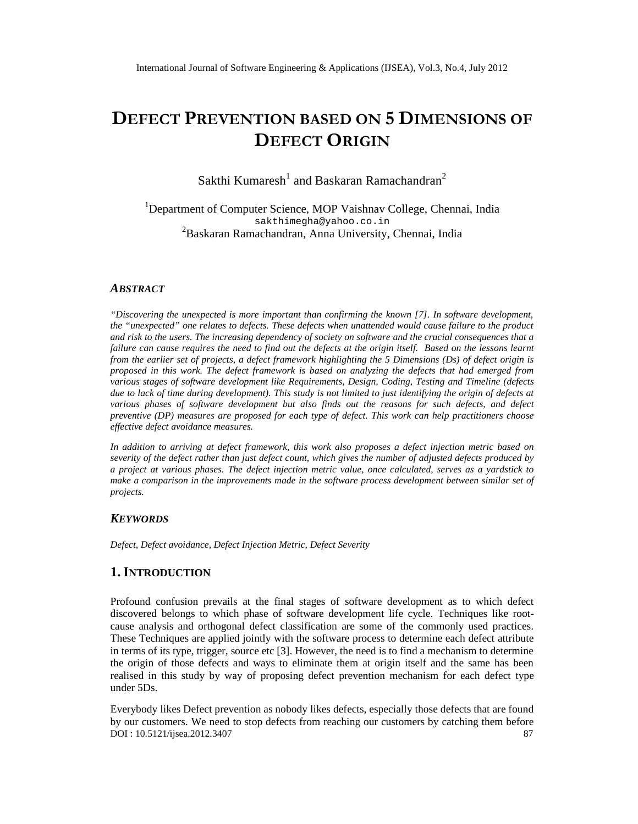# DEFECTREVENTION BASED DIONNENSIONS OF  $DFFECHORIGIN$

Sakthi Kumareshand Baskaran Ramachandran

 $1$ Department o $Compute$ ScienceMOP Vaishnav CollegeChennai India [sakthimegha](mailto:sakthimegha@yahoo.co) @yahoo.co.in <sup>2</sup>Baskaran Ramachandranna University Chennai India

### ABSTRACT

€Discovering the unexpected is more important than confirming the known [7]. In software development, the €unexpected• one relates to defects. These defects when unattended would cause failure to the product and risk to the usersThe increasing dependency of society on software and the crucial consequences that a failure can cause requires the need to find out the defects at the origin **Basied** on the lessons learnt from the earlier set of projects, a def framework highlighting the 5 Dimensions (Ds) of defect origin is proposed in this work. The defect framework is based on analyzing the defects that had emerged from various stages of software development like Requirements, Design, Coding, Testing almet T defects due to lack of time during development). This study is not limited to just identifying the origin of defects at various phases of software development but also finds out the reasons for such defects, and defect preventive (DP) measures aproposed for each type of defect. This work can help practitioners choose effective defect avoidance measures.

In addition to arriving at defect framework, this work also proposes a defect injection metric based on severity of the defect rather than just fect count, which gives the number of adjusted defects produced by a project at various phases he defect injection metric value, once calculated, serves as a yardstick to make a comparison in the improvements made in the software process development is imilar set of projects.

### **KEYWORDS**

Defect, Defect avoidance, Defect Injection Metric, Defect Severity

### 1.I NTRODUCTION

Profound confusion prevails at the final stages of software development as to which defect discovered belongs to which phase softtware development life cycle. Techniques like root cause analysis and orthogonal defect classification are some of the commonly used practices. These Techniques are applied jointly with the software process to determine each defect attribute in terms ofits type, trigger, source etc [3]. However, the need is to find a mechanism to determine the origin of those defects and ways to eliminate them at origin itself and the same has been realised in this study by way of proposing defect prevention mechanismeath defect type under 5Ds.

DOI : 10.5121/ijsea.2012.3407 87 Everybody likes Defect prevention as nobody likes defects, especially those defects that are found by our customers. We need to stop defects from reaching our customers by catching them before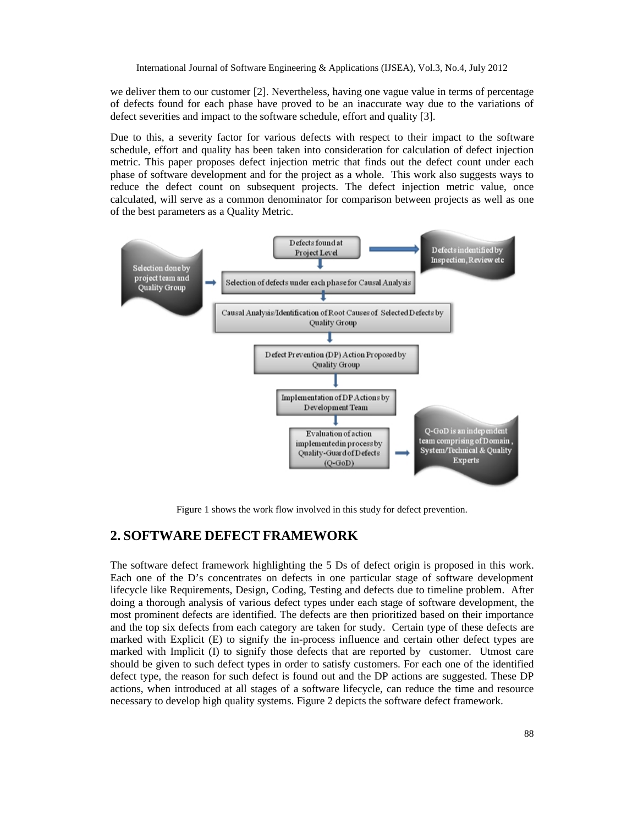we deliver them to our customer [2]. Nevertheless, having one vague value in terms of percentage of defects found for each phase have proved to be an inaccurate way due to the variations of defect severities and impact to the software schedule, effort and quality [3].

Due to this, a severity factor for various defects with respect to their impact to the software schedule, effort and quality has been taken into consideration for calculation of defect injection metric. This paper proposes defect injection metric that finds out the defect count under each phase of software development and for the project as a whole. This work also suggests ways to reduce the defect count on subsequent projects. The defect injection metric value, once calculated, will serve as a common denominator for comparison between projects as well as one of the best parameters as a Quality Metric.



Figure 1 shows the work flow involved in this study for defect prevention.

### **2. SOFTWARE DEFECT FRAMEWORK**

The software defect framework highlighting the 5 Ds of defect origin is proposed in this work. Each one of the D's concentrates on defects in one particular stage of software development lifecycle like Requirements, Design, Coding, Testing and defects due to timeline problem. After doing a thorough analysis of various defect types under each stage of software development, the most prominent defects are identified. The defects are then prioritized based on their importance and the top six defects from each category are taken for study. Certain type of these defects are marked with Explicit (E) to signify the in-process influence and certain other defect types are marked with Implicit (I) to signify those defects that are reported by customer. Utmost care should be given to such defect types in order to satisfy customers. For each one of the identified defect type, the reason for such defect is found out and the DP actions are suggested. These DP actions, when introduced at all stages of a software lifecycle, can reduce the time and resource necessary to develop high quality systems. Figure 2 depicts the software defect framework.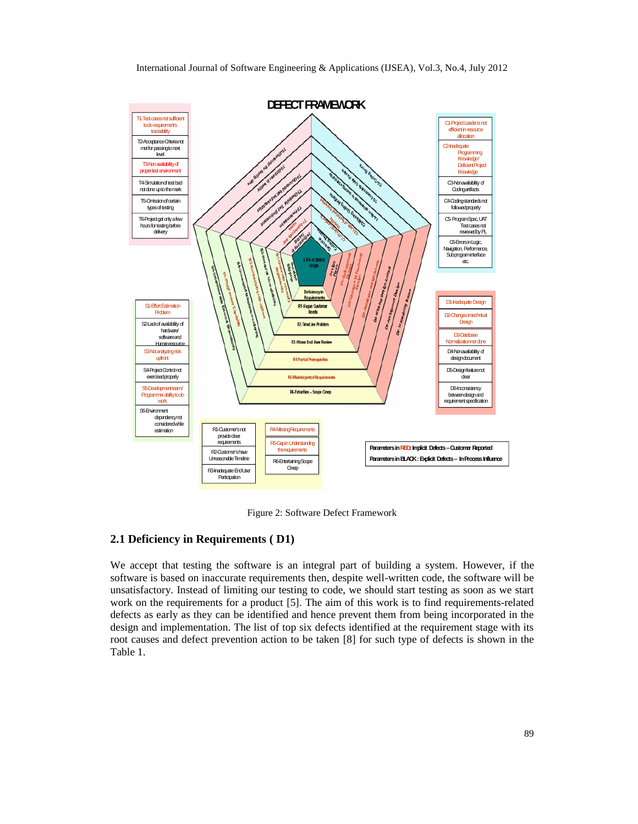

Figure 2: Software Defect Framework

### **2.1 Deficiency in Requirements ( D1)**

We accept that testing the software is an integral part of building a system. However, if the software is based on inaccurate requirements then, despite well-written code, the software will be unsatisfactory. Instead of limiting our testing to code, we should start testing as soon as we start work on the requirements for a product [5]. The aim of this work is to find requirements-related defects as early as they can be identified and hence prevent them from being incorporated in the design and implementation. The list of top six defects identified at the requirement stage with its root causes and defect prevention action to be taken [8] for such type of defects is shown in the Table 1.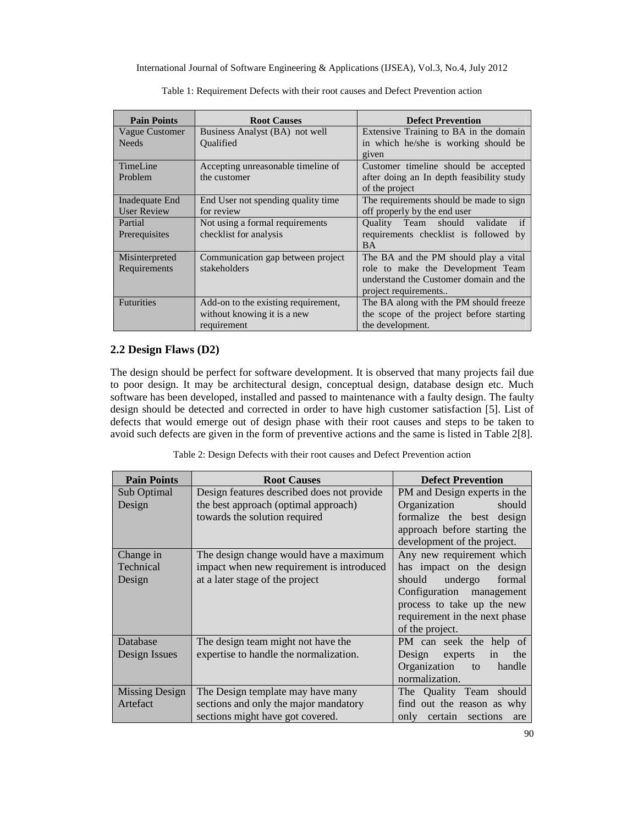| <b>Pain Points</b> | <b>Root Causes</b>                  | <b>Defect Prevention</b>                  |  |  |  |  |  |
|--------------------|-------------------------------------|-------------------------------------------|--|--|--|--|--|
| Vague Customer     | Business Analyst (BA) not well      | Extensive Training to BA in the domain    |  |  |  |  |  |
| <b>Needs</b>       | Oualified                           | in which he/she is working should be      |  |  |  |  |  |
|                    |                                     | given                                     |  |  |  |  |  |
| <b>TimeLine</b>    | Accepting unreasonable timeline of  | Customer timeline should be accepted      |  |  |  |  |  |
| Problem            | the customer                        | after doing an In depth feasibility study |  |  |  |  |  |
|                    |                                     | of the project                            |  |  |  |  |  |
| Inadequate End     | End User not spending quality time  | The requirements should be made to sign   |  |  |  |  |  |
| <b>User Review</b> | for review                          | off properly by the end user              |  |  |  |  |  |
| Partial            | Not using a formal requirements     | if<br>Quality Team should<br>validate     |  |  |  |  |  |
| Prerequisites      | checklist for analysis              | requirements checklist is followed by     |  |  |  |  |  |
|                    |                                     | <b>BA</b>                                 |  |  |  |  |  |
| Misinterpreted     | Communication gap between project   | The BA and the PM should play a vital     |  |  |  |  |  |
| Requirements       | stakeholders                        | role to make the Development Team         |  |  |  |  |  |
|                    |                                     | understand the Customer domain and the    |  |  |  |  |  |
|                    |                                     | project requirements                      |  |  |  |  |  |
| <b>Futurities</b>  | Add-on to the existing requirement, | The BA along with the PM should freeze    |  |  |  |  |  |
|                    | without knowing it is a new         | the scope of the project before starting  |  |  |  |  |  |
|                    | requirement                         | the development.                          |  |  |  |  |  |

Table 1: Requirement Defects with their root causes and Defect Prevention action

### **2.2 Design Flaws (D2)**

The design should be perfect for software development. It is observed that many projects fail due to poor design. It may be architectural design, conceptual design, database design etc. Much software has been developed, installed and passed to maintenance with a faulty design. The faulty design should be detected and corrected in order to have high customer satisfaction [5]. List of defects that would emerge out of design phase with their root causes and steps to be taken to avoid such defects are given in the form of preventive actions and the same is listed in Table 2[8].

Table 2: Design Defects with their root causes and Defect Prevention action

| <b>Pain Points</b>    | <b>Root Causes</b>                          | <b>Defect Prevention</b>        |
|-----------------------|---------------------------------------------|---------------------------------|
| Sub Optimal           | Design features described does not provide. | PM and Design experts in the    |
| Design                | the best approach (optimal approach)        | Organization<br>should          |
|                       | towards the solution required               | formalize the best design       |
|                       |                                             | approach before starting the    |
|                       |                                             | development of the project.     |
| Change in             | The design change would have a maximum      | Any new requirement which       |
| Technical             | impact when new requirement is introduced   | has impact on the design        |
| Design                | at a later stage of the project             | should undergo<br>formal        |
|                       |                                             | Configuration management        |
|                       |                                             | process to take up the new      |
|                       |                                             | requirement in the next phase   |
|                       |                                             | of the project.                 |
| Database              | The design team might not have the          | PM can seek the help of         |
| Design Issues         | expertise to handle the normalization.      | Design experts<br>in<br>the     |
|                       |                                             | Organization to<br>handle       |
|                       |                                             | normalization.                  |
| <b>Missing Design</b> | The Design template may have many           | The Quality Team should         |
| Artefact              | sections and only the major mandatory       | find out the reason as why      |
|                       | sections might have got covered.            | certain sections<br>only<br>are |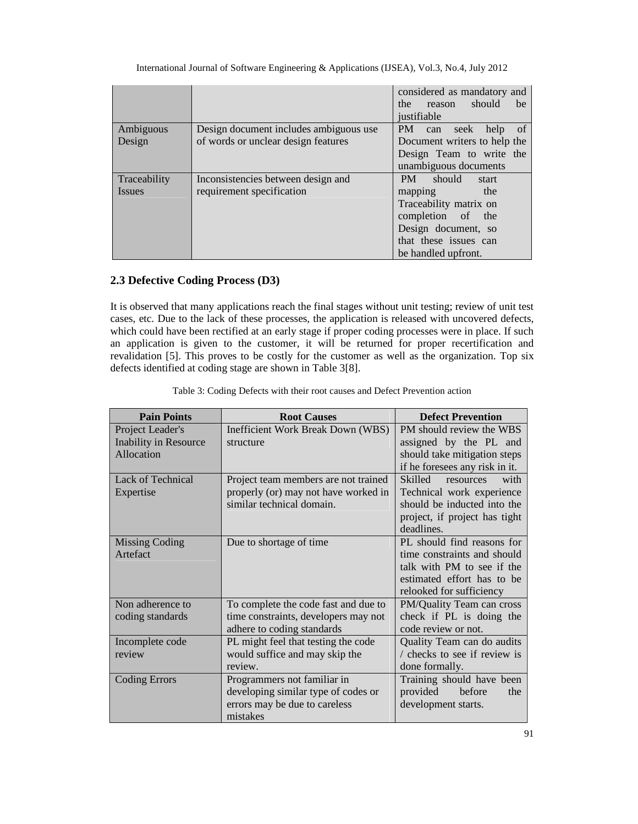|  |  | International Journal of Software Engineering & Applications (IJSEA), Vol.3, No.4, July 2012 |  |  |
|--|--|----------------------------------------------------------------------------------------------|--|--|
|  |  |                                                                                              |  |  |
|  |  |                                                                                              |  |  |
|  |  |                                                                                              |  |  |

|               |                                        | considered as mandatory and<br>reason should<br>the<br>be |
|---------------|----------------------------------------|-----------------------------------------------------------|
|               |                                        | justifiable                                               |
| Ambiguous     | Design document includes ambiguous use | PM can<br>help<br>seek<br>- of                            |
| Design        | of words or unclear design features    | Document writers to help the                              |
|               |                                        | Design Team to write the                                  |
|               |                                        | unambiguous documents                                     |
| Traceability  | Inconsistencies between design and     | PM should<br>start                                        |
| <i>Issues</i> | requirement specification              | the<br>mapping                                            |
|               |                                        | Traceability matrix on                                    |
|               |                                        | completion of<br>the                                      |
|               |                                        | Design document, so                                       |
|               |                                        | that these issues can                                     |
|               |                                        | be handled upfront.                                       |

## **2.3 Defective Coding Process (D3)**

It is observed that many applications reach the final stages without unit testing; review of unit test cases, etc. Due to the lack of these processes, the application is released with uncovered defects, which could have been rectified at an early stage if proper coding processes were in place. If such an application is given to the customer, it will be returned for proper recertification and revalidation [5]. This proves to be costly for the customer as well as the organization. Top six defects identified at coding stage are shown in Table 3[8].

| Table 3: Coding Defects with their root causes and Defect Prevention action |  |
|-----------------------------------------------------------------------------|--|
|-----------------------------------------------------------------------------|--|

| <b>Pain Points</b>       | <b>Root Causes</b>                   | <b>Defect Prevention</b>            |  |  |  |  |
|--------------------------|--------------------------------------|-------------------------------------|--|--|--|--|
| Project Leader's         | Inefficient Work Break Down (WBS)    | PM should review the WBS            |  |  |  |  |
| Inability in Resource    | structure                            | assigned by the PL and              |  |  |  |  |
| Allocation               |                                      | should take mitigation steps        |  |  |  |  |
|                          |                                      | if he foresees any risk in it.      |  |  |  |  |
| <b>Lack of Technical</b> | Project team members are not trained | <b>Skilled</b><br>resources<br>with |  |  |  |  |
| Expertise                | properly (or) may not have worked in | Technical work experience           |  |  |  |  |
|                          | similar technical domain.            | should be inducted into the         |  |  |  |  |
|                          |                                      | project, if project has tight       |  |  |  |  |
|                          |                                      | deadlines.                          |  |  |  |  |
| <b>Missing Coding</b>    | Due to shortage of time              | PL should find reasons for          |  |  |  |  |
| Artefact                 |                                      | time constraints and should         |  |  |  |  |
|                          |                                      | talk with PM to see if the          |  |  |  |  |
|                          |                                      | estimated effort has to be          |  |  |  |  |
|                          |                                      | relooked for sufficiency            |  |  |  |  |
| Non adherence to         | To complete the code fast and due to | PM/Quality Team can cross           |  |  |  |  |
| coding standards         | time constraints, developers may not | check if PL is doing the            |  |  |  |  |
|                          | adhere to coding standards           | code review or not.                 |  |  |  |  |
| Incomplete code          | PL might feel that testing the code  | Quality Team can do audits          |  |  |  |  |
| review                   | would suffice and may skip the       | / checks to see if review is        |  |  |  |  |
|                          | review.                              | done formally.                      |  |  |  |  |
| <b>Coding Errors</b>     | Programmers not familiar in          | Training should have been           |  |  |  |  |
|                          | developing similar type of codes or  | provided<br>before<br>the           |  |  |  |  |
|                          | errors may be due to careless        | development starts.                 |  |  |  |  |
|                          | mistakes                             |                                     |  |  |  |  |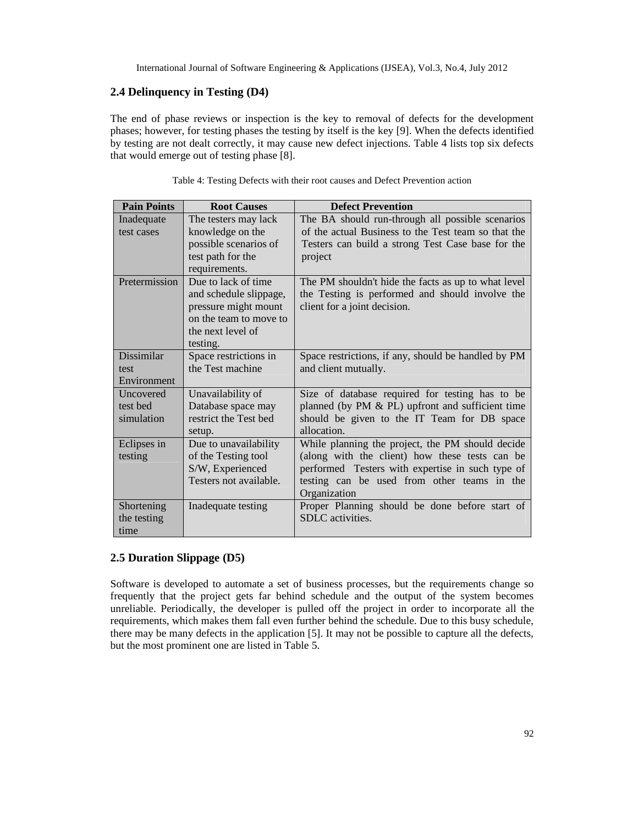### **2.4 Delinquency in Testing (D4)**

The end of phase reviews or inspection is the key to removal of defects for the development phases; however, for testing phases the testing by itself is the key [9]. When the defects identified by testing are not dealt correctly, it may cause new defect injections. Table 4 lists top six defects that would emerge out of testing phase [8].

| <b>Pain Points</b> | <b>Root Causes</b>     | <b>Defect Prevention</b>                            |
|--------------------|------------------------|-----------------------------------------------------|
| Inadequate         | The testers may lack   | The BA should run-through all possible scenarios    |
| test cases         | knowledge on the       | of the actual Business to the Test team so that the |
|                    | possible scenarios of  | Testers can build a strong Test Case base for the   |
|                    | test path for the      | project                                             |
|                    | requirements.          |                                                     |
| Pretermission      | Due to lack of time    | The PM shouldn't hide the facts as up to what level |
|                    | and schedule slippage, | the Testing is performed and should involve the     |
|                    | pressure might mount   | client for a joint decision.                        |
|                    | on the team to move to |                                                     |
|                    | the next level of      |                                                     |
|                    | testing.               |                                                     |
| Dissimilar         | Space restrictions in  | Space restrictions, if any, should be handled by PM |
| test               | the Test machine       | and client mutually.                                |
| Environment        |                        |                                                     |
| Uncovered          | Unavailability of      | Size of database required for testing has to be     |
| test bed           | Database space may     | planned (by PM & PL) upfront and sufficient time    |
| simulation         | restrict the Test bed  | should be given to the IT Team for DB space         |
|                    | setup.                 | allocation.                                         |
| Eclipses in        | Due to unavailability  | While planning the project, the PM should decide    |
| testing            | of the Testing tool    | (along with the client) how these tests can be      |
|                    | S/W, Experienced       | performed Testers with expertise in such type of    |
|                    | Testers not available. | testing can be used from other teams in the         |
|                    |                        | Organization                                        |
| Shortening         | Inadequate testing     | Proper Planning should be done before start of      |
| the testing        |                        | SDLC activities.                                    |
| time               |                        |                                                     |

Table 4: Testing Defects with their root causes and Defect Prevention action

### **2.5 Duration Slippage (D5)**

Software is developed to automate a set of business processes, but the requirements change so frequently that the project gets far behind schedule and the output of the system becomes unreliable. Periodically, the developer is pulled off the project in order to incorporate all the requirements, which makes them fall even further behind the schedule. Due to this busy schedule, there may be many defects in the application [5]. It may not be possible to capture all the defects, but the most prominent one are listed in Table 5.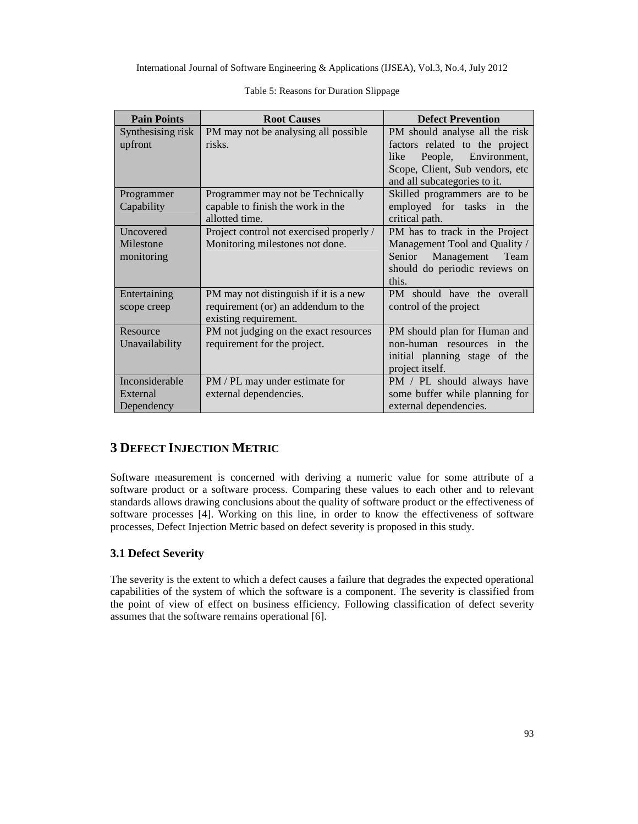| <b>Pain Points</b> | <b>Root Causes</b>                       | <b>Defect Prevention</b>        |
|--------------------|------------------------------------------|---------------------------------|
| Synthesising risk  | PM may not be analysing all possible     | PM should analyse all the risk  |
| upfront            | risks.                                   | factors related to the project  |
|                    |                                          | People, Environment,<br>like    |
|                    |                                          | Scope, Client, Sub vendors, etc |
|                    |                                          | and all subcategories to it.    |
| Programmer         | Programmer may not be Technically        | Skilled programmers are to be   |
| Capability         | capable to finish the work in the        | employed for tasks in the       |
|                    | allotted time.                           | critical path.                  |
| Uncovered          | Project control not exercised properly / | PM has to track in the Project  |
| Milestone          | Monitoring milestones not done.          | Management Tool and Quality /   |
| monitoring         |                                          | Management<br>Senior<br>Team    |
|                    |                                          | should do periodic reviews on   |
|                    |                                          | this.                           |
| Entertaining       | PM may not distinguish if it is a new    | PM should have the overall      |
| scope creep        | requirement (or) an addendum to the      | control of the project          |
|                    | existing requirement.                    |                                 |
| Resource           | PM not judging on the exact resources    | PM should plan for Human and    |
| Unavailability     | requirement for the project.             | non-human resources<br>in the   |
|                    |                                          | initial planning stage of the   |
|                    |                                          | project itself.                 |
| Inconsiderable     | PM / PL may under estimate for           | PM / PL should always have      |
| External           | external dependencies.                   | some buffer while planning for  |
| Dependency         |                                          | external dependencies.          |

Table 5: Reasons for Duration Slippage

# **3 DEFECT INJECTION METRIC**

Software measurement is concerned with deriving a numeric value for some attribute of a software product or a software process. Comparing these values to each other and to relevant standards allows drawing conclusions about the quality of software product or the effectiveness of software processes [4]. Working on this line, in order to know the effectiveness of software processes, Defect Injection Metric based on defect severity is proposed in this study.

### **3.1 Defect Severity**

The severity is the extent to which a defect causes a failure that degrades the expected operational capabilities of the system of which the software is a component. The severity is classified from the point of view of effect on business efficiency. Following classification of defect severity assumes that the software remains operational [6].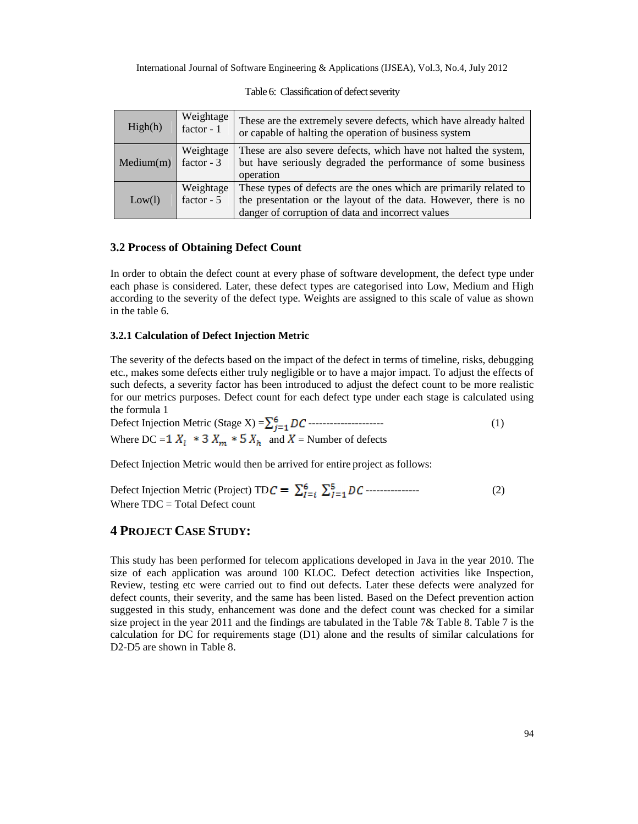| High(h)   | Weightage<br>factor - 1   | These are the extremely severe defects, which have already halted<br>or capable of halting the operation of business system                                                                 |
|-----------|---------------------------|---------------------------------------------------------------------------------------------------------------------------------------------------------------------------------------------|
| Median(m) | Weightage<br>factor - $3$ | These are also severe defects, which have not halted the system,<br>but have seriously degraded the performance of some business<br>operation                                               |
| Low(1)    | Weightage<br>factor $-5$  | These types of defects are the ones which are primarily related to<br>the presentation or the layout of the data. However, there is no<br>danger of corruption of data and incorrect values |

|  | Table 6: Classification of defect severity |  |  |
|--|--------------------------------------------|--|--|
|--|--------------------------------------------|--|--|

#### **3.2 Process of Obtaining Defect Count**

In order to obtain the defect count at every phase of software development, the defect type under each phase is considered. Later, these defect types are categorised into Low, Medium and High according to the severity of the defect type. Weights are assigned to this scale of value as shown in the table 6.

#### **3.2.1 Calculation of Defect Injection Metric**

The severity of the defects based on the impact of the defect in terms of timeline, risks, debugging etc., makes some defects either truly negligible or to have a major impact. To adjust the effects of such defects, a severity factor has been introduced to adjust the defect count to be more realistic for our metrics purposes. Defect count for each defect type under each stage is calculated using the formula 1

Defect Injection Metric (Stage X) =  $\sum_{i=1}^{6} DC$  ----------------------- (1) Where DC =  $1 X_l$  \*  $3 X_m$  \*  $5 X_h$  and  $X$  = Number of defects

Defect Injection Metric would then be arrived for entire project as follows:

Defect Injection Metric (Project)  $TDC = \sum_{i=1}^{6} \sum_{i=1}^{5} DC$  ---------------- (2) Where TDC = Total Defect count

### **4 PROJECT CASE STUDY:**

This study has been performed for telecom applications developed in Java in the year 2010. The size of each application was around 100 KLOC. Defect detection activities like Inspection, Review, testing etc were carried out to find out defects. Later these defects were analyzed for defect counts, their severity, and the same has been listed. Based on the Defect prevention action suggested in this study, enhancement was done and the defect count was checked for a similar size project in the year 2011 and the findings are tabulated in the Table 7 $\&$  Table 8. Table 7 is the calculation for DC for requirements stage (D1) alone and the results of similar calculations for D2-D5 are shown in Table 8.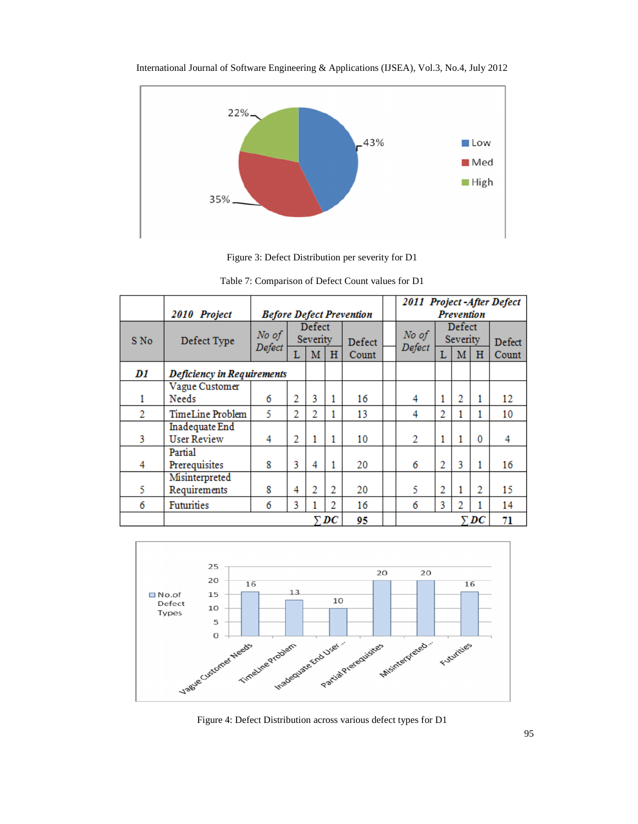

International Journal of Software Engineering & Applications (IJSEA), Vol.3, No.4, July 2012

Figure 3: Defect Distribution per severity for D1

| Table 7: Comparison of Defect Count values for D1 |             |  |
|---------------------------------------------------|-------------|--|
|                                                   | $2011$ Proi |  |

|      |                                   |                                 |   |          |             |        |                 |               |   |             | 2011 Project-After Defect |
|------|-----------------------------------|---------------------------------|---|----------|-------------|--------|-----------------|---------------|---|-------------|---------------------------|
|      | 2010 Project                      | <b>Before Defect Prevention</b> |   |          |             |        | Prevention      |               |   |             |                           |
|      |                                   |                                 |   | Defect   |             |        |                 | <b>Defect</b> |   |             |                           |
| S No | Defect Type                       | No of<br>Defect                 |   | Severity |             | Defect | No of<br>Defect | Severity      |   |             | Defect                    |
|      |                                   |                                 |   | M        | H           | Count  |                 |               | м | н           | Count                     |
| D1   | <b>Deficiency in Requirements</b> |                                 |   |          |             |        |                 |               |   |             |                           |
|      | Vague Customer                    |                                 |   |          |             |        |                 |               |   |             |                           |
| 1    | Needs                             | 6                               | 2 | 3        | 1           | 16     | 4               |               | 2 | 1           | 12                        |
| 2    | TimeLine Problem                  | 5                               | 2 | 2        | 1           | 13     | 4               | 2             |   | 1           | 10                        |
|      | Inadequate End                    |                                 |   |          |             |        |                 |               |   |             |                           |
| 3    | <b>User Review</b>                | 4                               | 2 | 1        | 1           | 10     | 2               | 1             | 1 | 0           | 4                         |
|      | Partial                           |                                 |   |          |             |        |                 |               |   |             |                           |
| 4    | Prerequisites                     | 8                               | 3 | 4        | 1           | 20     | 6               | 2             | 3 | 1           | 16                        |
|      | Misinterpreted                    |                                 |   |          |             |        |                 |               |   |             |                           |
| 5    | Requirements                      | 8                               | 4 | 2        | 2           | 20     | 5               | 2             |   | 2           | 15                        |
| 6    | <b>Futurities</b>                 | 6                               | 3 |          | 2           | 16     | 6               | 3             | 2 |             | 14                        |
|      |                                   |                                 |   |          | $\Sigma$ DC | 95     |                 |               |   | $\Sigma$ DC | 71                        |



Figure 4: Defect Distribution across various defect types for D1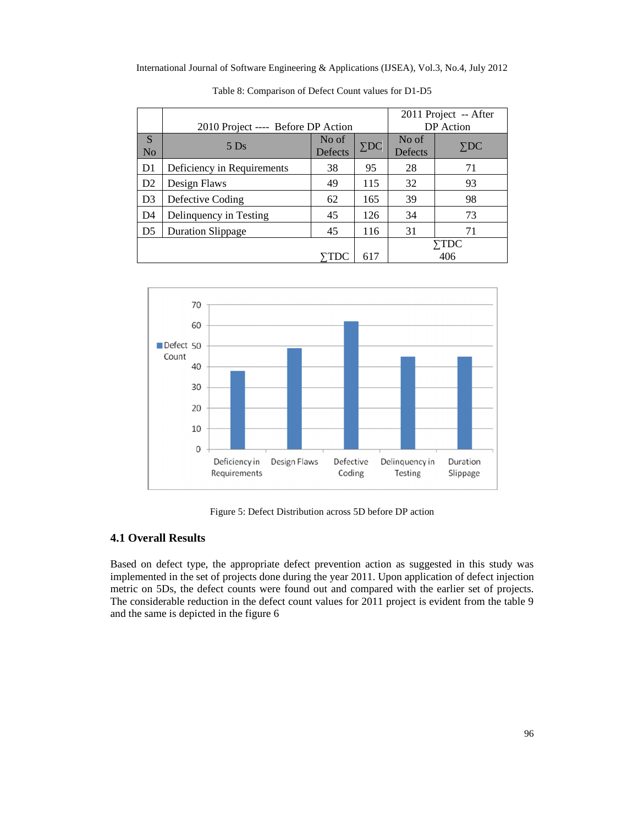International Journal of Software Engineering & Applications (IJSEA), Vol.3, No.4, July 2012

|                | 2010 Project ---- Before DP Action |                  |           | 2011 Project -- After<br>DP Action |    |
|----------------|------------------------------------|------------------|-----------|------------------------------------|----|
| S<br>No        | $5$ Ds                             | No of<br>Defects | <b>DC</b> | No of<br>Defects                   | DC |
| D <sub>1</sub> | Deficiency in Requirements         | 38               | 95        | 28                                 | 71 |
| D <sub>2</sub> | Design Flaws                       | 49               | 115       | 32                                 | 93 |
| D <sub>3</sub> | Defective Coding                   | 62               | 165       | 39                                 | 98 |
| D4             | Delinquency in Testing             | 45               | 126       | 34                                 | 73 |
| D5             | <b>Duration Slippage</b>           | 45               | 116       | 31                                 | 71 |
|                |                                    |                  |           | <b>TDC</b>                         |    |
|                |                                    | TDC              | 617       | 406                                |    |

Table 8: Comparison of Defect Count values for D1-D5



Figure 5: Defect Distribution across 5D before DP action

### **4.1 Overall Results**

Based on defect type, the appropriate defect prevention action as suggested in this study was implemented in the set of projects done during the year 2011. Upon application of defect injection metric on 5Ds, the defect counts were found out and compared with the earlier set of projects. The considerable reduction in the defect count values for 2011 project is evident from the table 9 and the same is depicted in the figure 6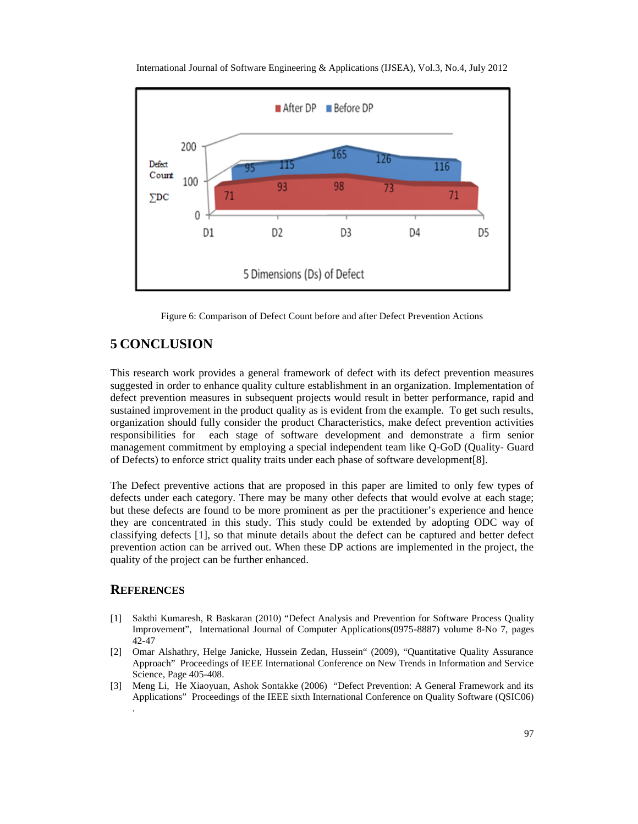



Figure 6: Comparison of Defect Count before and after Defect Prevention Actions

# **5 CONCLUSION**

This research work provides a general framework of defect with its defect prevention measures suggested in order to enhance quality culture establishment in an organization. Implementation of defect prevention measures in subsequent projects would result in better performance, rapid and sustained improvement in the product quality as is evident from the example. To get such results, organization should fully consider the product Characteristics, make defect prevention activities responsibilities for each stage of software development and demonstrate a firm senior management commitment by employing a special independent team like Q-GoD (Quality- Guard of Defects) to enforce strict quality traits under each phase of software development[8].

The Defect preventive actions that are proposed in this paper are limited to only few types of defects under each category. There may be many other defects that would evolve at each stage; but these defects are found to be more prominent as per the practitioner's experience and hence they are concentrated in this study. This study could be extended by adopting ODC way of classifying defects [1], so that minute details about the defect can be captured and better defect prevention action can be arrived out. When these DP actions are implemented in the project, the quality of the project can be further enhanced.

### **REFERENCES**

- [1] Sakthi Kumaresh, R Baskaran (2010) "Defect Analysis and Prevention for Software Process Quality Improvement", International Journal of Computer Applications(0975-8887) volume 8-No 7, pages 42-47
- [2] Omar Alshathry, Helge Janicke, Hussein Zedan, Hussein" (2009), "Quantitative Quality Assurance Approach" Proceedings of IEEE International Conference on New Trends in Information and Service Science, Page 405-408.
- [3] Meng Li, He Xiaoyuan, Ashok Sontakke (2006) "Defect Prevention: A General Framework and its Applications" Proceedings of the IEEE sixth International Conference on Quality Software (QSIC06) .